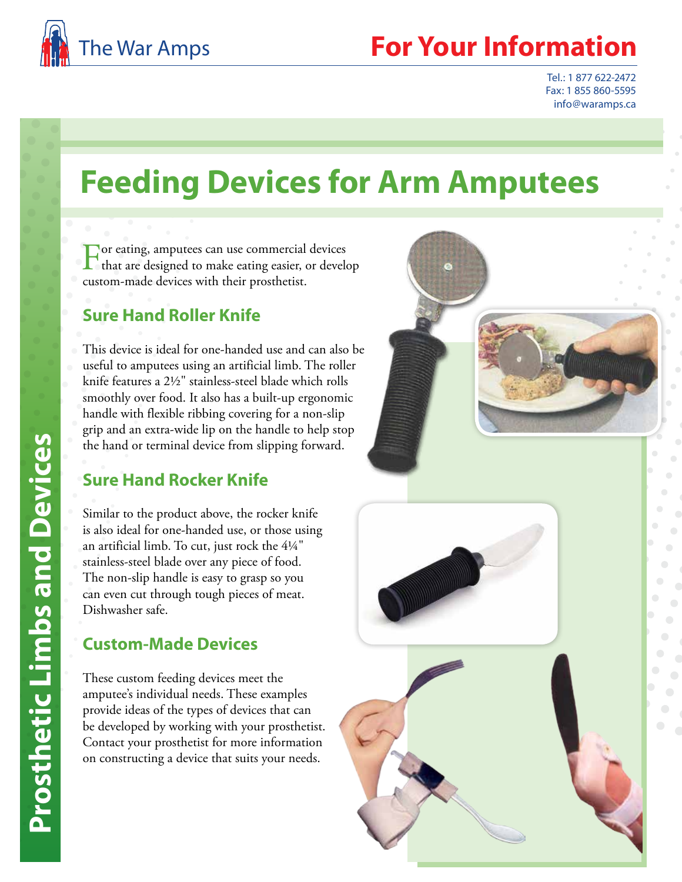

# **Your Information**

Tel.: 1 877 622-2472 Fax: 1 855 860-5595 info@waramps.ca

# **Feeding Devices for Arm Amputees**

**For eating, amputees can use commercial devices** that are designed to make eating easier, or develop custom-made devices with their prosthetist.

# **Sure Hand Roller Knife**

This device is ideal for one-handed use and can also be useful to amputees using an artificial limb. The roller knife features a 2½" stainless-steel blade which rolls smoothly over food. It also has a built-up ergonomic handle with flexible ribbing covering for a non-slip grip and an extra-wide lip on the handle to help stop the hand or terminal device from slipping forward.

# **Sure Hand Rocker Knife**

Similar to the product above, the rocker knife is also ideal for one-handed use, or those using an artificial limb. To cut, just rock the 4¼" stainless-steel blade over any piece of food. The non-slip handle is easy to grasp so you can even cut through tough pieces of meat. Dishwasher safe.

# **Custom-Made Devices**

These custom feeding devices meet the amputee's individual needs. These examples provide ideas of the types of devices that can be developed by working with your prosthetist. Contact your prosthetist for more information on constructing a device that suits your needs.

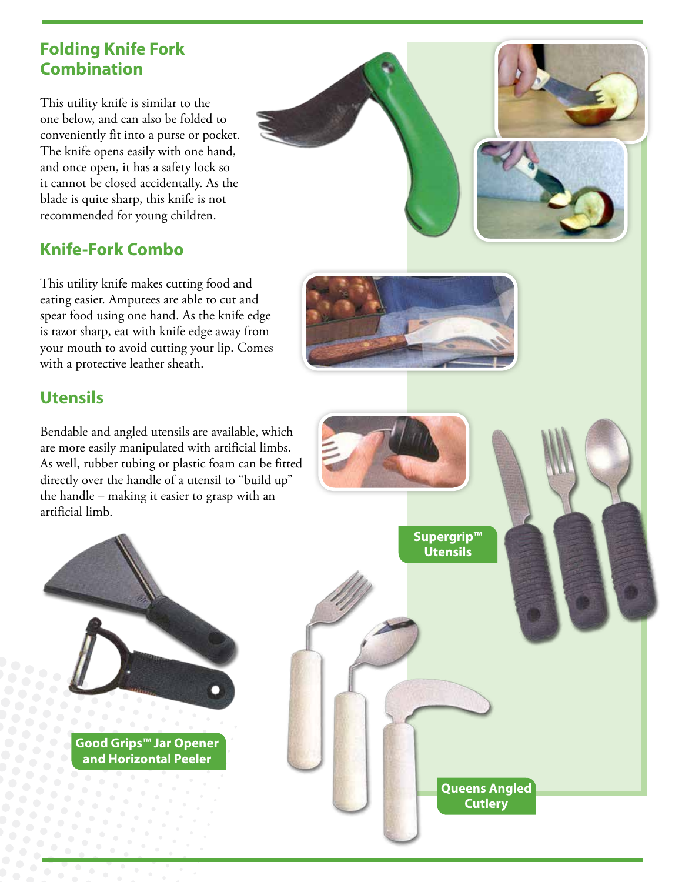#### **Folding Knife Fork Combination**

This utility knife is similar to the one below, and can also be folded to conveniently fit into a purse or pocket. The knife opens easily with one hand, and once open, it has a safety lock so it cannot be closed accidentally. As the blade is quite sharp, this knife is not recommended for young children.

# **Knife-Fork Combo**

This utility knife makes cutting food and eating easier. Amputees are able to cut and spear food using one hand. As the knife edge is razor sharp, eat with knife edge away from your mouth to avoid cutting your lip. Comes with a protective leather sheath.



#### **Utensils**

Bendable and angled utensils are available, which are more easily manipulated with artificial limbs. As well, rubber tubing or plastic foam can be fitted directly over the handle of a utensil to "build up" the handle – making it easier to grasp with an artificial limb.



**and Horizontal Peeler**